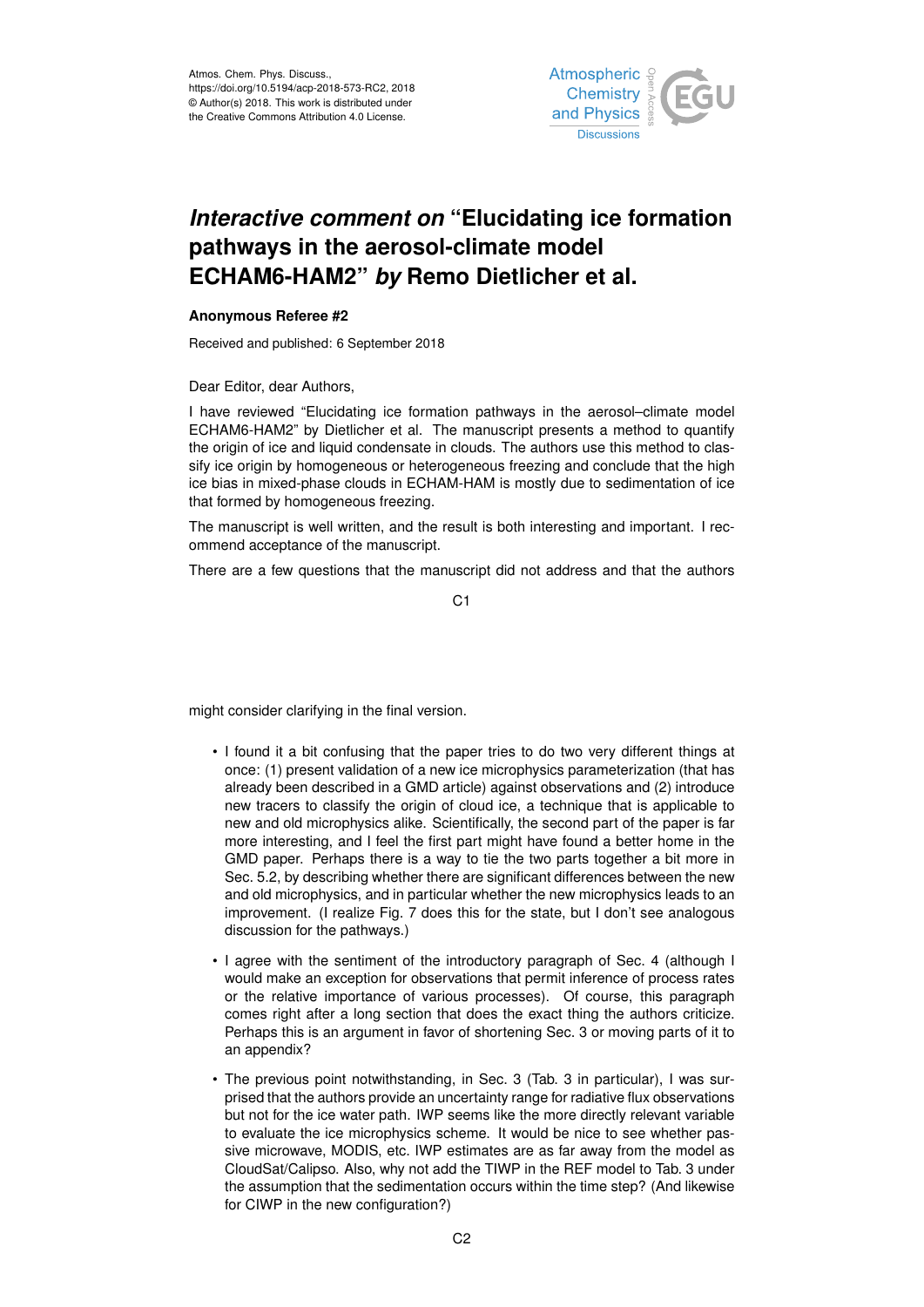

## *Interactive comment on* **"Elucidating ice formation pathways in the aerosol-climate model ECHAM6-HAM2"** *by* **Remo Dietlicher et al.**

## **Anonymous Referee #2**

Received and published: 6 September 2018

Dear Editor, dear Authors,

I have reviewed "Elucidating ice formation pathways in the aerosol–climate model ECHAM6-HAM2" by Dietlicher et al. The manuscript presents a method to quantify the origin of ice and liquid condensate in clouds. The authors use this method to classify ice origin by homogeneous or heterogeneous freezing and conclude that the high ice bias in mixed-phase clouds in ECHAM-HAM is mostly due to sedimentation of ice that formed by homogeneous freezing.

The manuscript is well written, and the result is both interesting and important. I recommend acceptance of the manuscript.

There are a few questions that the manuscript did not address and that the authors

C1

might consider clarifying in the final version.

- I found it a bit confusing that the paper tries to do two very different things at once: (1) present validation of a new ice microphysics parameterization (that has already been described in a GMD article) against observations and (2) introduce new tracers to classify the origin of cloud ice, a technique that is applicable to new and old microphysics alike. Scientifically, the second part of the paper is far more interesting, and I feel the first part might have found a better home in the GMD paper. Perhaps there is a way to tie the two parts together a bit more in Sec. 5.2, by describing whether there are significant differences between the new and old microphysics, and in particular whether the new microphysics leads to an improvement. (I realize Fig. 7 does this for the state, but I don't see analogous discussion for the pathways.)
- I agree with the sentiment of the introductory paragraph of Sec. 4 (although I would make an exception for observations that permit inference of process rates or the relative importance of various processes). Of course, this paragraph comes right after a long section that does the exact thing the authors criticize. Perhaps this is an argument in favor of shortening Sec. 3 or moving parts of it to an appendix?
- The previous point notwithstanding, in Sec. 3 (Tab. 3 in particular), I was surprised that the authors provide an uncertainty range for radiative flux observations but not for the ice water path. IWP seems like the more directly relevant variable to evaluate the ice microphysics scheme. It would be nice to see whether passive microwave, MODIS, etc. IWP estimates are as far away from the model as CloudSat/Calipso. Also, why not add the TIWP in the REF model to Tab. 3 under the assumption that the sedimentation occurs within the time step? (And likewise for CIWP in the new configuration?)